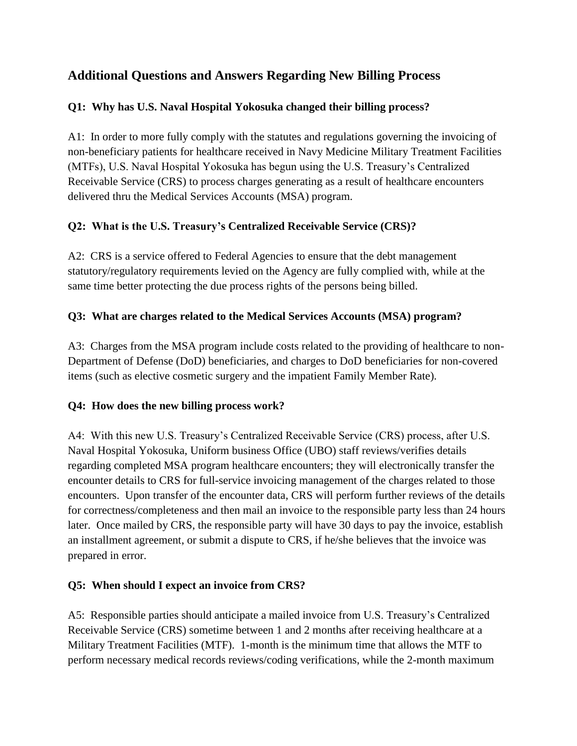# **Additional Questions and Answers Regarding New Billing Process**

### **Q1: Why has U.S. Naval Hospital Yokosuka changed their billing process?**

A1: In order to more fully comply with the statutes and regulations governing the invoicing of non-beneficiary patients for healthcare received in Navy Medicine Military Treatment Facilities (MTFs), U.S. Naval Hospital Yokosuka has begun using the U.S. Treasury's Centralized Receivable Service (CRS) to process charges generating as a result of healthcare encounters delivered thru the Medical Services Accounts (MSA) program.

### **Q2: What is the U.S. Treasury's Centralized Receivable Service (CRS)?**

A2: CRS is a service offered to Federal Agencies to ensure that the debt management statutory/regulatory requirements levied on the Agency are fully complied with, while at the same time better protecting the due process rights of the persons being billed.

### **Q3: What are charges related to the Medical Services Accounts (MSA) program?**

A3: Charges from the MSA program include costs related to the providing of healthcare to non-Department of Defense (DoD) beneficiaries, and charges to DoD beneficiaries for non-covered items (such as elective cosmetic surgery and the impatient Family Member Rate).

### **Q4: How does the new billing process work?**

A4: With this new U.S. Treasury's Centralized Receivable Service (CRS) process, after U.S. Naval Hospital Yokosuka, Uniform business Office (UBO) staff reviews/verifies details regarding completed MSA program healthcare encounters; they will electronically transfer the encounter details to CRS for full-service invoicing management of the charges related to those encounters. Upon transfer of the encounter data, CRS will perform further reviews of the details for correctness/completeness and then mail an invoice to the responsible party less than 24 hours later. Once mailed by CRS, the responsible party will have 30 days to pay the invoice, establish an installment agreement, or submit a dispute to CRS, if he/she believes that the invoice was prepared in error.

## **Q5: When should I expect an invoice from CRS?**

A5: Responsible parties should anticipate a mailed invoice from U.S. Treasury's Centralized Receivable Service (CRS) sometime between 1 and 2 months after receiving healthcare at a Military Treatment Facilities (MTF). 1-month is the minimum time that allows the MTF to perform necessary medical records reviews/coding verifications, while the 2-month maximum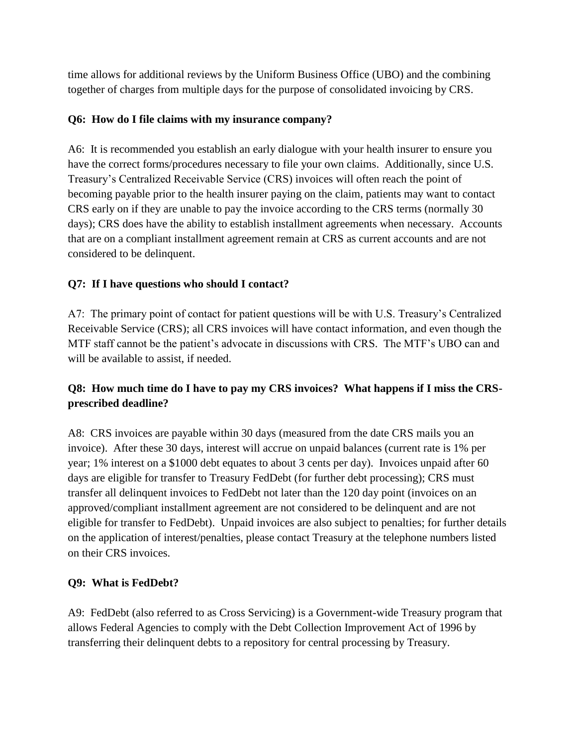time allows for additional reviews by the Uniform Business Office (UBO) and the combining together of charges from multiple days for the purpose of consolidated invoicing by CRS.

### **Q6: How do I file claims with my insurance company?**

A6: It is recommended you establish an early dialogue with your health insurer to ensure you have the correct forms/procedures necessary to file your own claims. Additionally, since U.S. Treasury's Centralized Receivable Service (CRS) invoices will often reach the point of becoming payable prior to the health insurer paying on the claim, patients may want to contact CRS early on if they are unable to pay the invoice according to the CRS terms (normally 30 days); CRS does have the ability to establish installment agreements when necessary. Accounts that are on a compliant installment agreement remain at CRS as current accounts and are not considered to be delinquent.

### **Q7: If I have questions who should I contact?**

A7: The primary point of contact for patient questions will be with U.S. Treasury's Centralized Receivable Service (CRS); all CRS invoices will have contact information, and even though the MTF staff cannot be the patient's advocate in discussions with CRS. The MTF's UBO can and will be available to assist, if needed.

## **Q8: How much time do I have to pay my CRS invoices? What happens if I miss the CRSprescribed deadline?**

A8: CRS invoices are payable within 30 days (measured from the date CRS mails you an invoice). After these 30 days, interest will accrue on unpaid balances (current rate is 1% per year; 1% interest on a \$1000 debt equates to about 3 cents per day). Invoices unpaid after 60 days are eligible for transfer to Treasury FedDebt (for further debt processing); CRS must transfer all delinquent invoices to FedDebt not later than the 120 day point (invoices on an approved/compliant installment agreement are not considered to be delinquent and are not eligible for transfer to FedDebt). Unpaid invoices are also subject to penalties; for further details on the application of interest/penalties, please contact Treasury at the telephone numbers listed on their CRS invoices.

## **Q9: What is FedDebt?**

A9: FedDebt (also referred to as Cross Servicing) is a Government-wide Treasury program that allows Federal Agencies to comply with the Debt Collection Improvement Act of 1996 by transferring their delinquent debts to a repository for central processing by Treasury.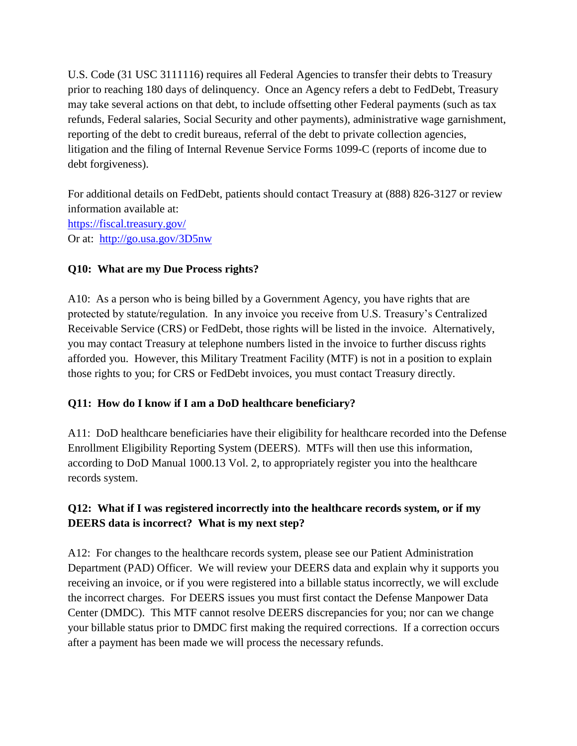U.S. Code (31 USC 3111116) requires all Federal Agencies to transfer their debts to Treasury prior to reaching 180 days of delinquency. Once an Agency refers a debt to FedDebt, Treasury may take several actions on that debt, to include offsetting other Federal payments (such as tax refunds, Federal salaries, Social Security and other payments), administrative wage garnishment, reporting of the debt to credit bureaus, referral of the debt to private collection agencies, litigation and the filing of Internal Revenue Service Forms 1099-C (reports of income due to debt forgiveness).

For additional details on FedDebt, patients should contact Treasury at (888) 826-3127 or review information available at: <https://fiscal.treasury.gov/> Or at: <http://go.usa.gov/3D5nw>

#### **Q10: What are my Due Process rights?**

A10: As a person who is being billed by a Government Agency, you have rights that are protected by statute/regulation. In any invoice you receive from U.S. Treasury's Centralized Receivable Service (CRS) or FedDebt, those rights will be listed in the invoice. Alternatively, you may contact Treasury at telephone numbers listed in the invoice to further discuss rights afforded you. However, this Military Treatment Facility (MTF) is not in a position to explain those rights to you; for CRS or FedDebt invoices, you must contact Treasury directly.

#### **Q11: How do I know if I am a DoD healthcare beneficiary?**

A11: DoD healthcare beneficiaries have their eligibility for healthcare recorded into the Defense Enrollment Eligibility Reporting System (DEERS). MTFs will then use this information, according to DoD Manual 1000.13 Vol. 2, to appropriately register you into the healthcare records system.

### **Q12: What if I was registered incorrectly into the healthcare records system, or if my DEERS data is incorrect? What is my next step?**

A12: For changes to the healthcare records system, please see our Patient Administration Department (PAD) Officer. We will review your DEERS data and explain why it supports you receiving an invoice, or if you were registered into a billable status incorrectly, we will exclude the incorrect charges. For DEERS issues you must first contact the Defense Manpower Data Center (DMDC). This MTF cannot resolve DEERS discrepancies for you; nor can we change your billable status prior to DMDC first making the required corrections. If a correction occurs after a payment has been made we will process the necessary refunds.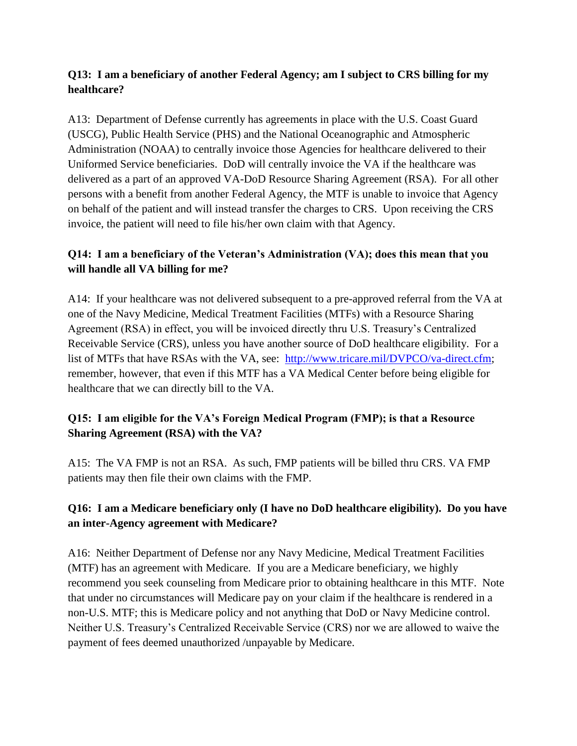### **Q13: I am a beneficiary of another Federal Agency; am I subject to CRS billing for my healthcare?**

A13: Department of Defense currently has agreements in place with the U.S. Coast Guard (USCG), Public Health Service (PHS) and the National Oceanographic and Atmospheric Administration (NOAA) to centrally invoice those Agencies for healthcare delivered to their Uniformed Service beneficiaries. DoD will centrally invoice the VA if the healthcare was delivered as a part of an approved VA-DoD Resource Sharing Agreement (RSA). For all other persons with a benefit from another Federal Agency, the MTF is unable to invoice that Agency on behalf of the patient and will instead transfer the charges to CRS. Upon receiving the CRS invoice, the patient will need to file his/her own claim with that Agency.

## **Q14: I am a beneficiary of the Veteran's Administration (VA); does this mean that you will handle all VA billing for me?**

A14: If your healthcare was not delivered subsequent to a pre-approved referral from the VA at one of the Navy Medicine, Medical Treatment Facilities (MTFs) with a Resource Sharing Agreement (RSA) in effect, you will be invoiced directly thru U.S. Treasury's Centralized Receivable Service (CRS), unless you have another source of DoD healthcare eligibility. For a list of MTFs that have RSAs with the VA, see: [http://www.tricare.mil/DVPCO/va-direct.cfm;](http://www.tricare.mil/DVPCO/va-direct.cfm) remember, however, that even if this MTF has a VA Medical Center before being eligible for healthcare that we can directly bill to the VA.

### **Q15: I am eligible for the VA's Foreign Medical Program (FMP); is that a Resource Sharing Agreement (RSA) with the VA?**

A15: The VA FMP is not an RSA. As such, FMP patients will be billed thru CRS. VA FMP patients may then file their own claims with the FMP.

## **Q16: I am a Medicare beneficiary only (I have no DoD healthcare eligibility). Do you have an inter-Agency agreement with Medicare?**

A16: Neither Department of Defense nor any Navy Medicine, Medical Treatment Facilities (MTF) has an agreement with Medicare. If you are a Medicare beneficiary, we highly recommend you seek counseling from Medicare prior to obtaining healthcare in this MTF. Note that under no circumstances will Medicare pay on your claim if the healthcare is rendered in a non-U.S. MTF; this is Medicare policy and not anything that DoD or Navy Medicine control. Neither U.S. Treasury's Centralized Receivable Service (CRS) nor we are allowed to waive the payment of fees deemed unauthorized /unpayable by Medicare.